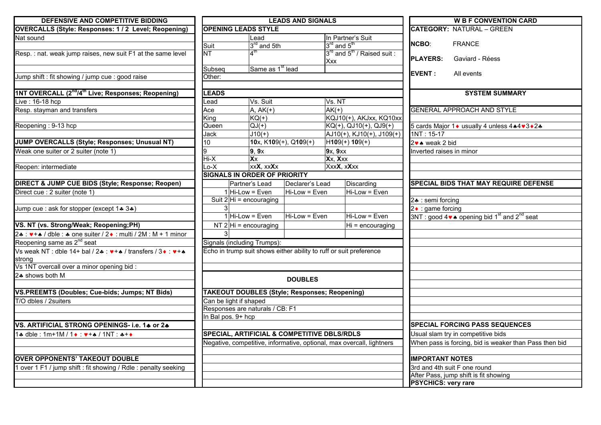| DEFENSIVE AND COMPETITIVE BIDDING                                            | <b>LEADS AND SIGNALS</b>                             |                                    |                                                                    |                    |                                                                       | <b>W B F CONVENTION CARD</b> |                                                                                    |
|------------------------------------------------------------------------------|------------------------------------------------------|------------------------------------|--------------------------------------------------------------------|--------------------|-----------------------------------------------------------------------|------------------------------|------------------------------------------------------------------------------------|
| OVERCALLS (Style: Responses: 1 / 2 Level; Reopening)                         | <b>OPENING LEADS STYLE</b>                           |                                    |                                                                    |                    |                                                                       |                              | <b>CATEGORY: NATURAL - GREEN</b>                                                   |
| Nat sound                                                                    |                                                      | Lead                               |                                                                    |                    | In Partner's Suit                                                     |                              |                                                                                    |
|                                                                              | Suit                                                 | 3 <sup>rd</sup> and 5th            |                                                                    | $3rd$ and $5th$    |                                                                       | <b>NCBO:</b>                 | <b>FRANCE</b>                                                                      |
| Resp.: nat. weak jump raises, new suit F1 at the same level                  | $\overline{\text{NT}}$                               | $\boldsymbol{\Lambda}^{\text{th}}$ |                                                                    |                    | 3rd and 5 <sup>th</sup> / Raised suit :                               | <b>PLAYERS:</b>              | Gaviard - Réess                                                                    |
|                                                                              |                                                      |                                    |                                                                    | <b>Xxx</b>         |                                                                       |                              |                                                                                    |
|                                                                              | Subseq                                               | Same as 1 <sup>st</sup> lead       |                                                                    |                    |                                                                       | <b>EVENT:</b>                | All events                                                                         |
| Jump shift : fit showing / jump cue : good raise                             | Other:                                               |                                    |                                                                    |                    |                                                                       |                              |                                                                                    |
| 1NT OVERCALL (2 <sup>nd</sup> /4 <sup>th</sup> Live; Responses; Reopening)   | <b>LEADS</b>                                         |                                    |                                                                    |                    |                                                                       |                              | <b>SYSTEM SUMMARY</b>                                                              |
| Live: 16-18 hcp                                                              | -ead                                                 | Vs. Suit                           |                                                                    | Vs. NT             |                                                                       |                              |                                                                                    |
| Resp. stayman and transfers                                                  | Ace                                                  | $A, AK(+)$                         |                                                                    | $\overline{AK}(+)$ |                                                                       |                              | <b>GENERAL APPROACH AND STYLE</b>                                                  |
|                                                                              | King                                                 | $KQ(+)$                            |                                                                    |                    | KQJ10(+), AKJxx, KQ10xx                                               |                              |                                                                                    |
| Reopening: 9-13 hcp                                                          | Queen                                                | $QJ(+)$                            |                                                                    |                    | $KG(+), GJ10(+), GJ9(+)$                                              |                              | 5 cards Major 1 • usually 4 unless 4 • 4 • 3 • 2 •                                 |
|                                                                              | Jack                                                 | $J10(+)$                           |                                                                    |                    | $AJ10(+), KJ10(+), J109(+)$                                           | $1NT: 15-17$                 |                                                                                    |
| JUMP OVERCALLS (Style; Responses; Unusual NT)                                | 10                                                   |                                    | 10x, $K109(+)$ , Q109(+)                                           |                    | $H109(+) 109(+)$                                                      | 2v ▲ weak 2 bid              |                                                                                    |
| Weak one suiter or 2 suiter (note 1)                                         | 9                                                    | 9, 9x                              |                                                                    | 9x, 9xx            |                                                                       | Inverted raises in minor     |                                                                                    |
|                                                                              | Hi-X                                                 | $\overline{\mathbf{X}}$            |                                                                    | Xx, Xxx            |                                                                       |                              |                                                                                    |
| Reopen: intermediate                                                         | Lo-X                                                 | xxX, xxXx                          |                                                                    | XxxX, xXxx         |                                                                       |                              |                                                                                    |
|                                                                              | <b>SIGNALS IN ORDER OF PRIORITY</b>                  |                                    |                                                                    |                    |                                                                       |                              |                                                                                    |
| DIRECT & JUMP CUE BIDS (Style; Response; Reopen)                             |                                                      | Partner's Lead                     | Declarer's Lead                                                    |                    | Discarding                                                            |                              | <b>SPECIAL BIDS THAT MAY REQUIRE DEFENSE</b>                                       |
| Direct cue : 2 suiter (note 1)                                               |                                                      | $1$ Hi-Low = Even                  | Hi-Low = Even                                                      |                    | Hi-Low = Even                                                         |                              |                                                                                    |
|                                                                              |                                                      | Suit $2 Hi = \text{encouraging}$   |                                                                    |                    |                                                                       | 2. : semi forcing            |                                                                                    |
| Jump cue : ask for stopper (except 1+ 3+)                                    |                                                      |                                    |                                                                    |                    |                                                                       | $2 \cdot$ : game forcing     |                                                                                    |
|                                                                              |                                                      | $1$ Hi-Low = Even                  | Hi-Low = Even                                                      |                    | Hi-Low = Even                                                         |                              | 3NT : good 4 $\bullet\bullet$ opening bid 1 <sup>st</sup> and 2 <sup>nd</sup> seat |
| VS. NT (vs. Strong/Weak; Reopening;PH)                                       |                                                      | NT $2$ Hi = encouraging            |                                                                    |                    | Hi = encouraging                                                      |                              |                                                                                    |
| 2. $\sqrt{+a}$ / dble : $\approx$ one suiter / 2. multi / 2M : M + 1 minor   |                                                      |                                    |                                                                    |                    |                                                                       |                              |                                                                                    |
| Reopening same as 2 <sup>nd</sup> seat                                       | Signals (including Trumps):                          |                                    |                                                                    |                    |                                                                       |                              |                                                                                    |
| Vs weak NT: dble 14+ bal / 2+: $\vee$ ++ / transfers / 3 $\cdot$ : $\vee$ ++ |                                                      |                                    | Echo in trump suit shows either ability to ruff or suit preference |                    |                                                                       |                              |                                                                                    |
| strong                                                                       |                                                      |                                    |                                                                    |                    |                                                                       |                              |                                                                                    |
| Vs 1NT overcall over a minor opening bid :                                   |                                                      |                                    |                                                                    |                    |                                                                       |                              |                                                                                    |
| 2. shows both M                                                              |                                                      |                                    | <b>DOUBLES</b>                                                     |                    |                                                                       |                              |                                                                                    |
|                                                                              |                                                      |                                    |                                                                    |                    |                                                                       |                              |                                                                                    |
| VS.PREEMTS (Doubles; Cue-bids; Jumps; NT Bids)                               | <b>TAKEOUT DOUBLES (Style; Responses; Reopening)</b> |                                    |                                                                    |                    |                                                                       |                              |                                                                                    |
| T/O dbles / 2suiters                                                         | Can be light if shaped                               |                                    |                                                                    |                    |                                                                       |                              |                                                                                    |
|                                                                              | Responses are naturals / CB: F1                      |                                    |                                                                    |                    |                                                                       |                              |                                                                                    |
|                                                                              | In Bal pos. 9+ hcp                                   |                                    |                                                                    |                    |                                                                       |                              |                                                                                    |
| VS. ARTIFICIAL STRONG OPENINGS- i.e. 14 or 24                                |                                                      |                                    |                                                                    |                    |                                                                       |                              | <b>SPECIAL FORCING PASS SEQUENCES</b>                                              |
| $1*$ dble : 1m+1M / $1*$ $$ $*$ + $*$ / 1NT $$ $*$ + $*$                     |                                                      |                                    | <b>SPECIAL, ARTIFICIAL &amp; COMPETITIVE DBLS/RDLS</b>             |                    |                                                                       |                              | Usual slam try in competitive bids                                                 |
|                                                                              |                                                      |                                    |                                                                    |                    | Negative, competitive, informative, optional, max overcall, lightners |                              | When pass is forcing, bid is weaker than Pass then bid                             |
|                                                                              |                                                      |                                    |                                                                    |                    |                                                                       |                              |                                                                                    |
| <b>OVER OPPONENTS' TAKEOUT DOUBLE</b>                                        |                                                      |                                    |                                                                    |                    |                                                                       | <b>IMPORTANT NOTES</b>       |                                                                                    |
| 1 over 1 F1 / jump shift : fit showing / Rdle : penalty seeking              |                                                      |                                    |                                                                    |                    |                                                                       |                              | 3rd and 4th suit F one round                                                       |
|                                                                              |                                                      |                                    |                                                                    |                    |                                                                       | <b>PSYCHICS: very rare</b>   | After Pass, jump shift is fit showing                                              |
|                                                                              |                                                      |                                    |                                                                    |                    |                                                                       |                              |                                                                                    |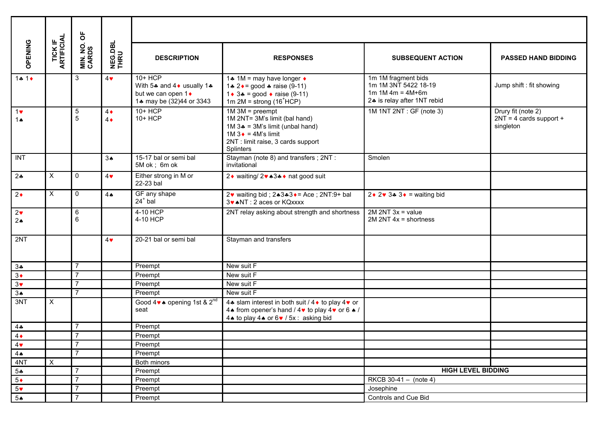|                              |                               | ㅎ                         |                          |                                                                                          |                                                                                                                                                                                  |                                                                                                    |                                                              |
|------------------------------|-------------------------------|---------------------------|--------------------------|------------------------------------------------------------------------------------------|----------------------------------------------------------------------------------------------------------------------------------------------------------------------------------|----------------------------------------------------------------------------------------------------|--------------------------------------------------------------|
| OPENING                      | <b>TICK IF<br/>ARTIFICIAL</b> | <b>MIN. NO.<br/>CARDS</b> | <b>NEG.DBL</b><br>THRU   | <b>DESCRIPTION</b>                                                                       | <b>RESPONSES</b>                                                                                                                                                                 | <b>SUBSEQUENT ACTION</b>                                                                           | <b>PASSED HAND BIDDING</b>                                   |
| $1 + 1 +$                    |                               | 3                         | $4\bullet$               | 10+ HCP<br>With 5* and 4 • usually 1*<br>but we can open 1 •<br>1* may be (32)44 or 3343 | 1.4 1M = may have longer $\triangleleft$<br>1.4 $2 \cdot = \text{good}$ * raise (9-11)<br>$1 \cdot 3$ ≠ = good $\cdot$ raise (9-11)<br>$1m$ 2M = strong ( $16$ <sup>+</sup> HCP) | 1m 1M fragment bids<br>1m 1M 3NT 5422 18-19<br>1m $1M 4m = 4M + 6m$<br>2. is relay after 1NT rebid | Jump shift : fit showing                                     |
| $1$ v<br>1 $\triangle$       |                               | $\sqrt{5}$<br>5           | $4\bullet$<br>$4\bullet$ | $10+HCP$<br>10+ HCP                                                                      | $1M 3M = preempt$<br>1M 2NT= 3M's limit (bal hand)<br>1M $3$ = 3M's limit (unbal hand)<br>$1M3$ → = 4M's limit<br>2NT : limit raise, 3 cards support<br>Splinters                | $1M$ 1NT $2NT$ : GF (note 3)                                                                       | Drury fit (note 2)<br>$2NT = 4$ cards support +<br>singleton |
| INT                          |                               |                           | 3 <sub>•</sub>           | 15-17 bal or semi bal<br>5M ok; 6m ok                                                    | Stayman (note 8) and transfers; 2NT:<br>invitational                                                                                                                             | Smolen                                                                                             |                                                              |
| 24                           | $\pmb{\times}$                | $\mathbf{0}$              | $4\bullet$               | Either strong in M or<br>22-23 bal                                                       | 2 Vaiting/ 2 v 43 A V nat good suit                                                                                                                                              |                                                                                                    |                                                              |
| $2\bullet$                   | $\mathsf{X}$                  | $\mathbf 0$               | 4A                       | GF any shape<br>$24+$ bal                                                                | 2 $\bullet$ waiting bid; 2 $\bullet$ 3 $\bullet$ 3 $\bullet$ = Ace; 2NT:9+ bal<br>3 . NT: 2 aces or KQxxxx                                                                       | $2 \cdot 2 \cdot 3 \cdot 3 \cdot 3 =$ waiting bid                                                  |                                                              |
| $2\bullet$<br>2 <sub>•</sub> |                               | 6<br>6                    |                          | 4-10 HCP<br>4-10 HCP                                                                     | 2NT relay asking about strength and shortness                                                                                                                                    | $2M 2NT 3x = value$<br>$2M 2NT 4x = shortness$                                                     |                                                              |
| 2NT                          |                               |                           | $4\bullet$               | 20-21 bal or semi bal                                                                    | Stayman and transfers                                                                                                                                                            |                                                                                                    |                                                              |
| $3*$                         |                               | $\overline{7}$            |                          | Preempt                                                                                  | New suit F                                                                                                                                                                       |                                                                                                    |                                                              |
| $3\bullet$                   |                               | $\overline{7}$            |                          | Preempt                                                                                  | New suit F                                                                                                                                                                       |                                                                                                    |                                                              |
| $3\bullet$                   |                               | $\overline{7}$            |                          | Preempt                                                                                  | New suit F                                                                                                                                                                       |                                                                                                    |                                                              |
| 3A                           |                               | $\overline{7}$            |                          | Preempt                                                                                  | New suit F                                                                                                                                                                       |                                                                                                    |                                                              |
| 3NT                          | X                             |                           |                          | Good $4 \vee \bullet$ opening 1st & 2 <sup>nd</sup><br>seat                              | 4. slam interest in both suit / 4 ♦ to play 4 ♥ or<br>4 • from opener's hand / 4 $\bullet$ to play 4 $\bullet$ or 6 $\bullet$ /<br>4. to play 4. or 6. / 5x: asking bid          |                                                                                                    |                                                              |
| $4 -$                        |                               | $\overline{7}$            |                          | Preempt                                                                                  |                                                                                                                                                                                  |                                                                                                    |                                                              |
| $4\bullet$                   |                               | $\overline{7}$            |                          | Preempt                                                                                  |                                                                                                                                                                                  |                                                                                                    |                                                              |
| $4\bullet$                   |                               | $\overline{7}$            |                          | Preempt                                                                                  |                                                                                                                                                                                  |                                                                                                    |                                                              |
| $4 \spadesuit$               |                               | $\overline{7}$            |                          | Preempt                                                                                  |                                                                                                                                                                                  |                                                                                                    |                                                              |
| 4NT                          | $\boldsymbol{\mathsf{X}}$     |                           |                          | Both minors                                                                              |                                                                                                                                                                                  |                                                                                                    |                                                              |
| $5 -$                        |                               | $\overline{7}$            |                          | Preempt                                                                                  |                                                                                                                                                                                  | <b>HIGH LEVEL BIDDING</b>                                                                          |                                                              |
| $5\bullet$                   |                               | $\overline{7}$            |                          | Preempt                                                                                  |                                                                                                                                                                                  | RKCB 30-41 - (note 4)                                                                              |                                                              |
| $5*$                         |                               | $\overline{7}$            |                          | Preempt                                                                                  |                                                                                                                                                                                  | Josephine                                                                                          |                                                              |
| $5*$                         |                               | $\overline{7}$            |                          | Preempt                                                                                  |                                                                                                                                                                                  | Controls and Cue Bid                                                                               |                                                              |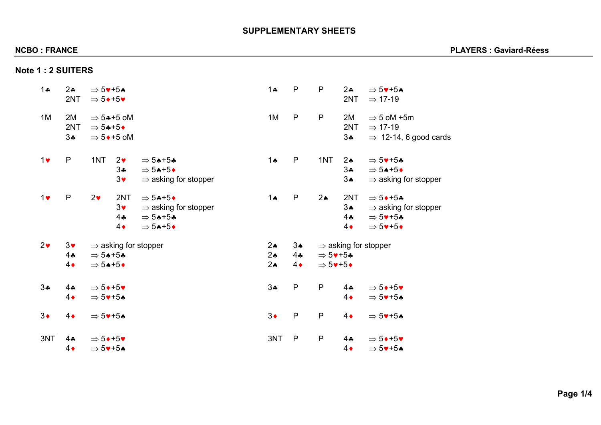# **SUPPLEMENTARY SHEETS**

|  |  |  |  | <b>Note 1: 2 SUITERS</b> |  |  |  |
|--|--|--|--|--------------------------|--|--|--|
|  |  |  |  |                          |  |  |  |

| $1 -$        | $2\bullet$<br>2NT              | $\Rightarrow$ 5 $\blacktriangledown$ +5 $\blacktriangle$<br>$\Rightarrow$ 5 $\leftrightarrow$ +5 $\bullet$                                                       | P<br>$1 -$                                                                    | P                                                                                                   | $2\bullet$<br>2NT<br>$\Rightarrow$ 17-19         | $\Rightarrow$ 5 $\blacktriangledown$ +5 $\blacktriangle$                                                                                                                |
|--------------|--------------------------------|------------------------------------------------------------------------------------------------------------------------------------------------------------------|-------------------------------------------------------------------------------|-----------------------------------------------------------------------------------------------------|--------------------------------------------------|-------------------------------------------------------------------------------------------------------------------------------------------------------------------------|
| 1M           | 2M<br>2NT<br>$3 -$             | $\Rightarrow$ 5*+5 oM<br>$\Rightarrow$ 54+5+<br>$\Rightarrow$ 5 $\bullet$ +5 oM                                                                                  | $\mathsf{P}$<br>1M                                                            | $\mathsf{P}$                                                                                        | 2M<br>2NT<br>$\Rightarrow$ 17-19<br>$3\clubsuit$ | $\Rightarrow$ 5 oM +5m<br>$\Rightarrow$ 12-14, 6 good cards                                                                                                             |
| $1$ v        | ${\sf P}$                      | 1NT<br>2 <sub>v</sub><br>$\Rightarrow$ 54+54<br>34<br>$\Rightarrow$ 54+5+<br>$3\blacktriangledown$<br>$\Rightarrow$ asking for stopper                           | ${\sf P}$<br>$1 \spadesuit$                                                   | 1NT                                                                                                 | $2\spadesuit$<br>$3 -$<br>3A                     | $\Rightarrow$ 5 $\blacktriangledown$ +54<br>$\Rightarrow$ 54+5+<br>$\Rightarrow$ asking for stopper                                                                     |
| $1$ v        | ${\sf P}$                      | 2 <sub>v</sub><br>2NT<br>$\Rightarrow$ 54+5+<br>$3\bullet$<br>$\Rightarrow$ asking for stopper<br>44<br>$\Rightarrow$ 54+54<br>$4\bullet$<br>$\Rightarrow$ 54+5+ | $\mathsf{P}$<br>$1 \spadesuit$                                                | $2\spadesuit$                                                                                       | 2NT<br>3A<br>44<br>$4\bullet$                    | $\Rightarrow$ 5 + + 5 +<br>$\Rightarrow$ asking for stopper<br>$\Rightarrow$ 5 $\blacktriangledown$ +5*<br>$\Rightarrow$ 5 $\blacktriangledown$ +5 $\blacktriangledown$ |
| $2\bullet$   | $3\bullet$<br>44<br>$4\bullet$ | $\Rightarrow$ asking for stopper<br>$\Rightarrow$ 54+54<br>$\Rightarrow$ 54+5+                                                                                   | $2 \spadesuit$<br>$3*$<br>$2\spadesuit$<br>44<br>$2 \spadesuit$<br>$4\bullet$ | $\Rightarrow$ 5 $\blacktriangledown$ +54<br>$\Rightarrow$ 5 $\blacktriangledown$ +5 $\blacklozenge$ | $\Rightarrow$ asking for stopper                 |                                                                                                                                                                         |
| $3\clubsuit$ | $4$ .<br>$4\bullet$            | $\Rightarrow$ 5 $\leftrightarrow$ +5 $\bullet$<br>$\Rightarrow$ 5 $\blacktriangledown$ +5 $\blacktriangle$                                                       | 34<br>$\mathsf{P}$                                                            | $\mathsf{P}$                                                                                        | $4$ $\clubsuit$<br>$4\bullet$                    | $\Rightarrow$ 5++5+<br>$\Rightarrow$ 5 $\blacktriangledown$ +5 $\blacktriangle$                                                                                         |
| $3\bullet$   | $4\bullet$                     | $\Rightarrow$ 5 $\blacktriangledown$ +5 $\blacktriangle$                                                                                                         | $3\bullet$<br>${\sf P}$                                                       | $\mathsf{P}$                                                                                        | $4\bullet$                                       | $\Rightarrow$ 5 $\blacktriangledown$ +5 $\blacktriangle$                                                                                                                |
| 3NT          | $4$ $\clubsuit$<br>$4\bullet$  | $\Rightarrow$ 5++5+<br>$\Rightarrow$ 5 $\blacktriangledown$ +5 $\blacktriangle$                                                                                  | $\mathsf{P}$<br>3NT                                                           | $\mathsf{P}$                                                                                        | $4 -$<br>$4\bullet$                              | $\Rightarrow$ 5 $\leftrightarrow$ +5 $\bullet$<br>$\Rightarrow$ 5 $\blacktriangledown$ +5 $\blacktriangle$                                                              |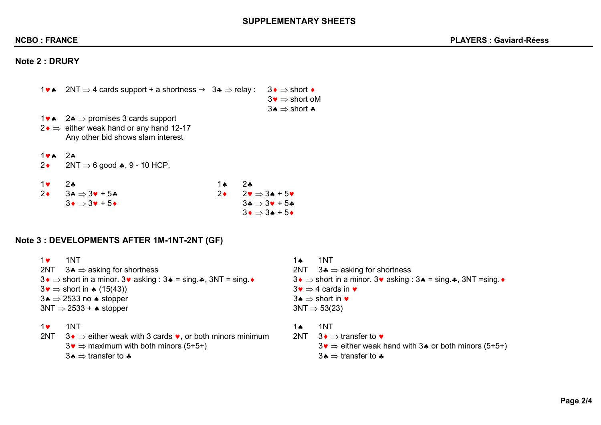## **SUPPLEMENTARY SHEETS**

# **Note 2 : DRURY**

| $1$ va $\sim$                 | $2NT \Rightarrow 4$ cards support + a shortness $\rightarrow 3$ $\Rightarrow$ relay :                                                |            |        | $3 \bullet \Rightarrow$ short $\bullet$<br>$3\bullet \Rightarrow$ short oM<br>$3 \triangle \Rightarrow$ short $\clubsuit$ |
|-------------------------------|--------------------------------------------------------------------------------------------------------------------------------------|------------|--------|---------------------------------------------------------------------------------------------------------------------------|
|                               | 1 $\bullet \bullet \quad 2 \bullet \Rightarrow$ promises 3 cards support<br>$2 \cdot \Rightarrow$ either weak hand or any hand 12-17 |            |        |                                                                                                                           |
|                               | Any other bid shows slam interest                                                                                                    |            |        |                                                                                                                           |
| $1 \vee \wedge$<br>$2\bullet$ | $2$ $\ast$<br>$2NT \Rightarrow 6$ good $\clubsuit$ , 9 - 10 HCP.                                                                     |            |        |                                                                                                                           |
|                               |                                                                                                                                      |            |        |                                                                                                                           |
| $1$ v                         | 24                                                                                                                                   | <b>1 A</b> | $2$ as |                                                                                                                           |
| $2\bullet$                    | $3\clubsuit \Rightarrow 3\blacktriangledown + 5\clubsuit$                                                                            | $2\bullet$ |        | $2\bullet \Rightarrow 3\bullet + 5\bullet$                                                                                |
|                               | $3\bullet \Rightarrow 3\bullet + 5\bullet$                                                                                           |            |        | $3\clubsuit \Rightarrow 3\blacktriangledown + 5\clubsuit$                                                                 |

# **Note 3 : DEVELOPMENTS AFTER 1M-1NT-2NT (GF)**

| $1$ v | 1NT                                                                                                         | 1 Ѧ | 1NT                                                                                                                    |
|-------|-------------------------------------------------------------------------------------------------------------|-----|------------------------------------------------------------------------------------------------------------------------|
|       | 2NT $3 \cdot \Rightarrow$ asking for shortness                                                              |     | 2NT $3\clubsuit \Rightarrow$ asking for shortness                                                                      |
|       | $3\bullet$ ⇒ short in a minor. 3 $\bullet$ asking : 3 $\bullet$ = sing. $\clubsuit$ , 3NT = sing. $\bullet$ |     | $3 \bullet \Rightarrow$ short in a minor. 3 $\bullet$ asking : 3 $\bullet$ = sing. $\clubsuit$ , 3NT = sing. $\bullet$ |
|       | $3\bullet$ $\Rightarrow$ short in $\bullet$ (15(43))                                                        |     | $3\bullet \Rightarrow 4$ cards in $\bullet$                                                                            |
|       | $3\bullet \Rightarrow 2533$ no $\bullet$ stopper                                                            |     | 3♦ $\Rightarrow$ short in $\bullet$                                                                                    |
|       | $3NT \Rightarrow 2533 + \bullet$ stopper                                                                    |     | $3NT \Rightarrow 53(23)$                                                                                               |
| $1$ v | 1NT                                                                                                         | 1Ѧ  | 1NT                                                                                                                    |
|       | 2NT $3\bullet$ ⇒ either weak with 3 cards $\bullet$ , or both minors minimum                                | 2NT | $3\bullet$ ⇒ transfer to $\bullet$                                                                                     |
|       | $3\bullet \Rightarrow$ maximum with both minors (5+5+)                                                      |     | $3\bullet$ $\Rightarrow$ either weak hand with 3 $\bullet$ or both minors (5+5+)                                       |

 $3\bullet \Rightarrow 3\bullet + 5\bullet$ 

3 $\clubsuit \Rightarrow$  transfer to  $\clubsuit$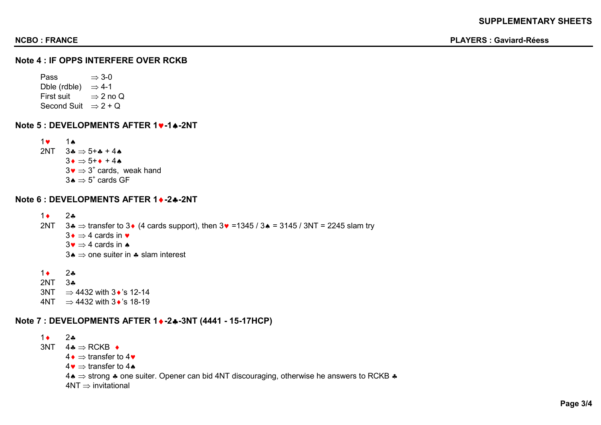## **Note 4 : IF OPPS INTERFERE OVER RCKB**

Pass  $\Rightarrow$  3-0 Dble (rdble)  $\Rightarrow$  4-1 First suit ⇒ 2 no Q Second Suit  $\Rightarrow$  2 + Q

**Note 5 : DEVELOPMENTS AFTER 1**♥**-1**♠**-2NT**

1♥ 1♠ 2NT  $3.4 \Rightarrow 5 + .4 + 4.4$  $3\bullet$   $\Rightarrow$  5+ $\bullet$  + 4 $\bullet$  $3\bullet$   $\Rightarrow$  3<sup>+</sup> cards, weak hand  $3\spadesuit$  ⇒  $5^*$  cards GF

### **Note 6 : DEVELOPMENTS AFTER 1**♦**-2**♣**-2NT**

1♦ 2♣ 2NT  $3 \cdot \Rightarrow$  transfer to 3 $\bullet$  (4 cards support), then  $3 \cdot \bullet$  = 1345 / 3 $\bullet$  = 3145 / 3NT = 2245 slam try  $3\bullet$  ⇒ 4 cards in  $\bullet$  $3\bullet$  ⇒ 4 cards in  $\bullet$ 3 $\bullet$  ⇒ one suiter in  $\bullet$  slam interest

 $1 \bullet 2 \bullet 2 \bullet$ 2NT 3♣  $3NT \Rightarrow 4432$  with  $3\cdot$ 's 12-14  $4NT \Rightarrow 4432$  with  $3\cdot$ 's 18-19

## **Note 7 : DEVELOPMENTS AFTER 1**♦**-2**♣**-3NT (4441 - 15-17HCP)**

 $1 \bullet 2 \bullet$  $3NT \quad 4 \clubsuit \Rightarrow RCKB \; \bullet$  $4\bullet$  ⇒ transfer to 4 $\bullet$  $4\bullet$  ⇒ transfer to 4 4♠ ⇒ strong ♣ one suiter. Opener can bid 4NT discouraging, otherwise he answers to RCKB ♣  $4NT \Rightarrow$  invitational